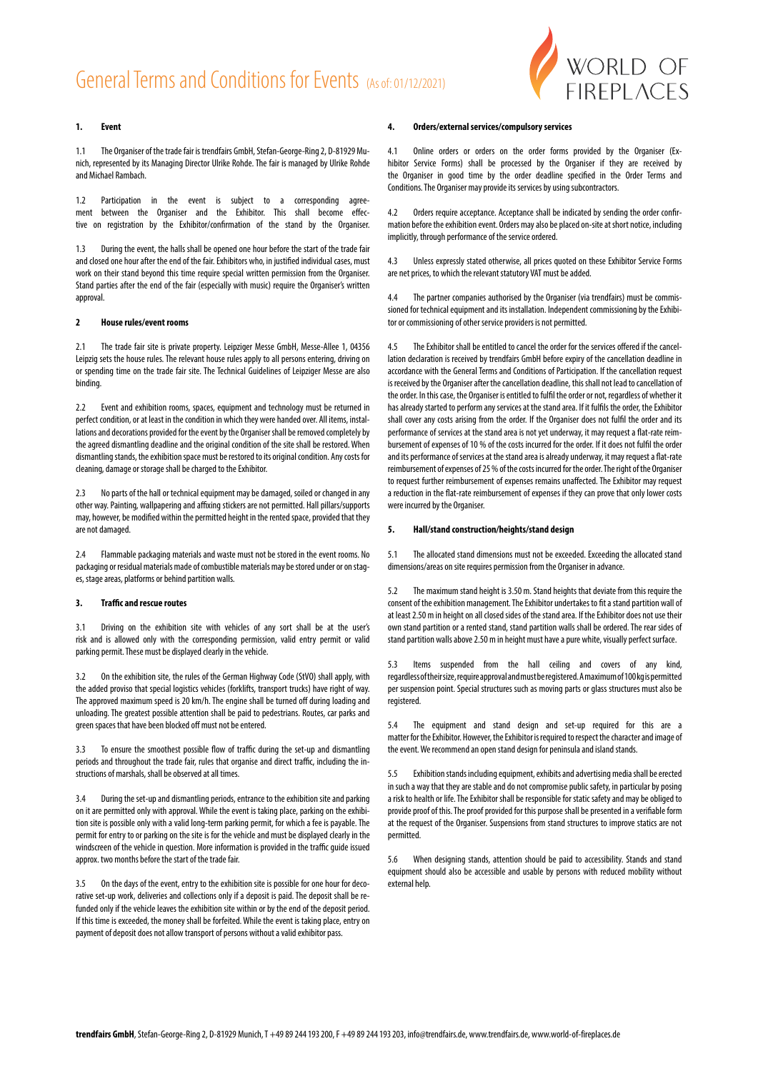# General Terms and Conditions for Events (As of: 01/12/2021)



## **1. Event**

1.1 The Organiser of the trade fair is trendfairs GmbH, Stefan-George-Ring 2, D-81929 Munich, represented by its Managing Director Ulrike Rohde. The fair is managed by Ulrike Rohde and Michael Rambach.

1.2 Participation in the event is subject to a corresponding agreement between the Organiser and the Exhibitor. This shall become effective on registration by the Exhibitor/confirmation of the stand by the Organiser.

1.3 During the event, the halls shall be opened one hour before the start of the trade fair and closed one hour after the end of the fair. Exhibitors who, in justified individual cases, must work on their stand beyond this time require special written permission from the Organiser. Stand parties after the end of the fair (especially with music) require the Organiser's written approval.

#### **2 House rules/event rooms**

2.1 The trade fair site is private property. Leipziger Messe GmbH, Messe-Allee 1, 04356 Leipzig sets the house rules. The relevant house rules apply to all persons entering, driving on or spending time on the trade fair site. The Technical Guidelines of Leipziger Messe are also binding.

2.2 Event and exhibition rooms, spaces, equipment and technology must be returned in perfect condition, or at least in the condition in which they were handed over. All items, installations and decorations provided for the event by the Organiser shall be removed completely by the agreed dismantling deadline and the original condition of the site shall be restored. When dismantling stands, the exhibition space must be restored to its original condition. Any costs for cleaning, damage or storage shall be charged to the Exhibitor.

2.3 No parts of the hall or technical equipment may be damaged, soiled or changed in any other way. Painting, wallpapering and affixing stickers are not permitted. Hall pillars/supports may, however, be modified within the permitted height in the rented space, provided that they are not damaged.

2.4 Flammable packaging materials and waste must not be stored in the event rooms. No packaging or residual materials made of combustible materials may be stored under or on stages, stage areas, platforms or behind partition walls.

### **3. Traffic and rescue routes**

3.1 Driving on the exhibition site with vehicles of any sort shall be at the user's risk and is allowed only with the corresponding permission, valid entry permit or valid parking permit. These must be displayed clearly in the vehicle.

3.2 On the exhibition site, the rules of the German Highway Code (StVO) shall apply, with the added proviso that special logistics vehicles (forklifts, transport trucks) have right of way. The approved maximum speed is 20 km/h. The engine shall be turned off during loading and unloading. The greatest possible attention shall be paid to pedestrians. Routes, car parks and green spaces that have been blocked off must not be entered.

3.3 To ensure the smoothest possible flow of traffic during the set-up and dismantling periods and throughout the trade fair, rules that organise and direct traffic, including the instructions of marshals, shall be observed at all times.

3.4 During the set-up and dismantling periods, entrance to the exhibition site and parking on it are permitted only with approval. While the event is taking place, parking on the exhibition site is possible only with a valid long-term parking permit, for which a fee is payable. The permit for entry to or parking on the site is for the vehicle and must be displayed clearly in the windscreen of the vehicle in question. More information is provided in the traffic guide issued approx. two months before the start of the trade fair.

On the days of the event, entry to the exhibition site is possible for one hour for decorative set-up work, deliveries and collections only if a deposit is paid. The deposit shall be refunded only if the vehicle leaves the exhibition site within or by the end of the deposit period. If this time is exceeded, the money shall be forfeited. While the event is taking place, entry on payment of deposit does not allow transport of persons without a valid exhibitor pass.

#### **4. Orders/external services/compulsory services**

4.1 Online orders or orders on the order forms provided by the Organiser (Exhibitor Service Forms) shall be processed by the Organiser if they are received by the Organiser in good time by the order deadline specified in the Order Terms and Conditions. The Organiser may provide its services by using subcontractors.

4.2 Orders require acceptance. Acceptance shall be indicated by sending the order confirmation before the exhibition event. Orders may also be placed on-site at short notice, including implicitly, through performance of the service ordered.

4.3 Unless expressly stated otherwise, all prices quoted on these Exhibitor Service Forms are net prices, to which the relevant statutory VAT must be added.

4.4 The partner companies authorised by the Organiser (via trendfairs) must be commissioned for technical equipment and its installation. Independent commissioning by the Exhibitor or commissioning of other service providers is not permitted.

4.5 The Exhibitor shall be entitled to cancel the order for the services offered if the cancellation declaration is received by trendfairs GmbH before expiry of the cancellation deadline in accordance with the General Terms and Conditions of Participation. If the cancellation request is received by the Organiser after the cancellation deadline, this shall not lead to cancellation of the order. In this case, the Organiser is entitled to fulfil the order or not, regardless of whether it has already started to perform any services at the stand area. If it fulfils the order, the Exhibitor shall cover any costs arising from the order. If the Organiser does not fulfil the order and its performance of services at the stand area is not yet underway, it may request a flat-rate reimbursement of expenses of 10 % of the costs incurred for the order. If it does not fulfil the order and its performance of services at the stand area is already underway, it may request a flat-rate reimbursement of expenses of 25 % of the costs incurred for the order. The right of the Organiser to request further reimbursement of expenses remains unaffected. The Exhibitor may request a reduction in the flat-rate reimbursement of expenses if they can prove that only lower costs were incurred by the Organiser.

#### **5. Hall/stand construction/heights/stand design**

5.1 The allocated stand dimensions must not be exceeded. Exceeding the allocated stand dimensions/areas on site requires permission from the Organiser in advance.

5.2 The maximum stand height is 3.50 m. Stand heights that deviate from this require the consent of the exhibition management. The Exhibitor undertakes to fit a stand partition wall of at least 2.50 m in height on all closed sides of the stand area. If the Exhibitor does not use their own stand partition or a rented stand, stand partition walls shall be ordered. The rear sides of stand partition walls above 2.50 m in height must have a pure white, visually perfect surface.

5.3 Items suspended from the hall ceiling and covers of any kind, regardless of their size, require approval and must be registered. A maximum of 100 kg is permitted per suspension point. Special structures such as moving parts or glass structures must also be registered.

5.4 The equipment and stand design and set-up required for this are a matter for the Exhibitor. However, the Exhibitor is required to respect the character and image of the event. We recommend an open stand design for peninsula and island stands.

5.5 Exhibition stands including equipment, exhibits and advertising media shall be erected in such a way that they are stable and do not compromise public safety, in particular by posing a risk to health or life. The Exhibitor shall be responsible for static safety and may be obliged to provide proof of this. The proof provided for this purpose shall be presented in a verifiable form at the request of the Organiser. Suspensions from stand structures to improve statics are not permitted.

When designing stands, attention should be paid to accessibility. Stands and stand equipment should also be accessible and usable by persons with reduced mobility without external help.